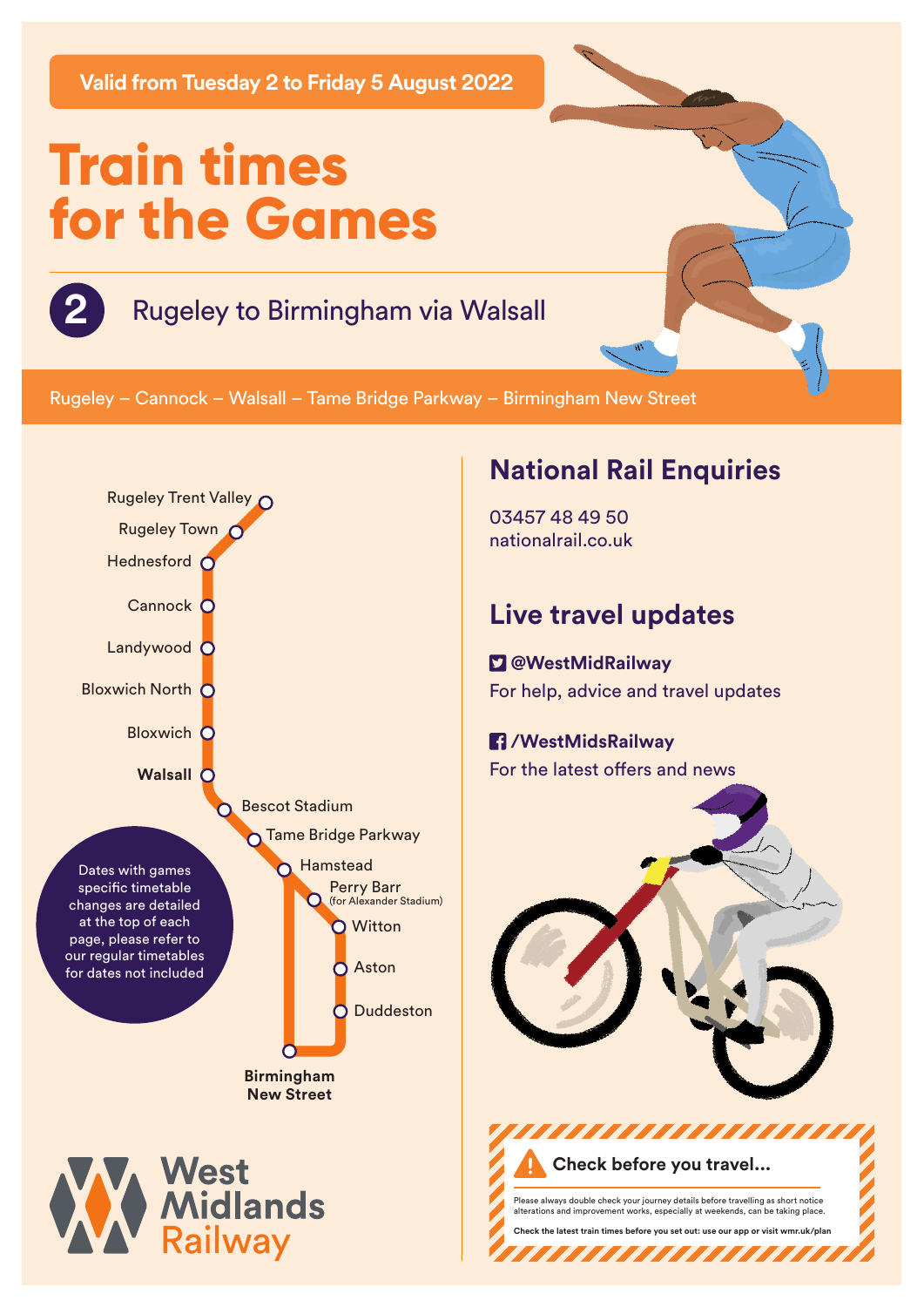**Valid from Tuesday 2 to Friday 5 August 2022**

# **Train times for the Games**

#### **2** Rugeley to Birmingham via Walsall

Rugeley – Cannock – Walsall – Tame Bridge Parkway – Birmingham New Street



## **National Rail Enquiries**

03457 48 49 50 nationalrail.co.uk

## **Live travel updates**

 **@WestMidRailway** For help, advice and travel updates

#### **/WestMidsRailway** For the latest offers and news



Please always double check your journey details before travelling as short notice alterations and improvement works, especially at weekends, can be taking place.

**Check the latest train times before you set out: use our app or visit wmr.uk/plan** 

,,,,,,,,,,,,,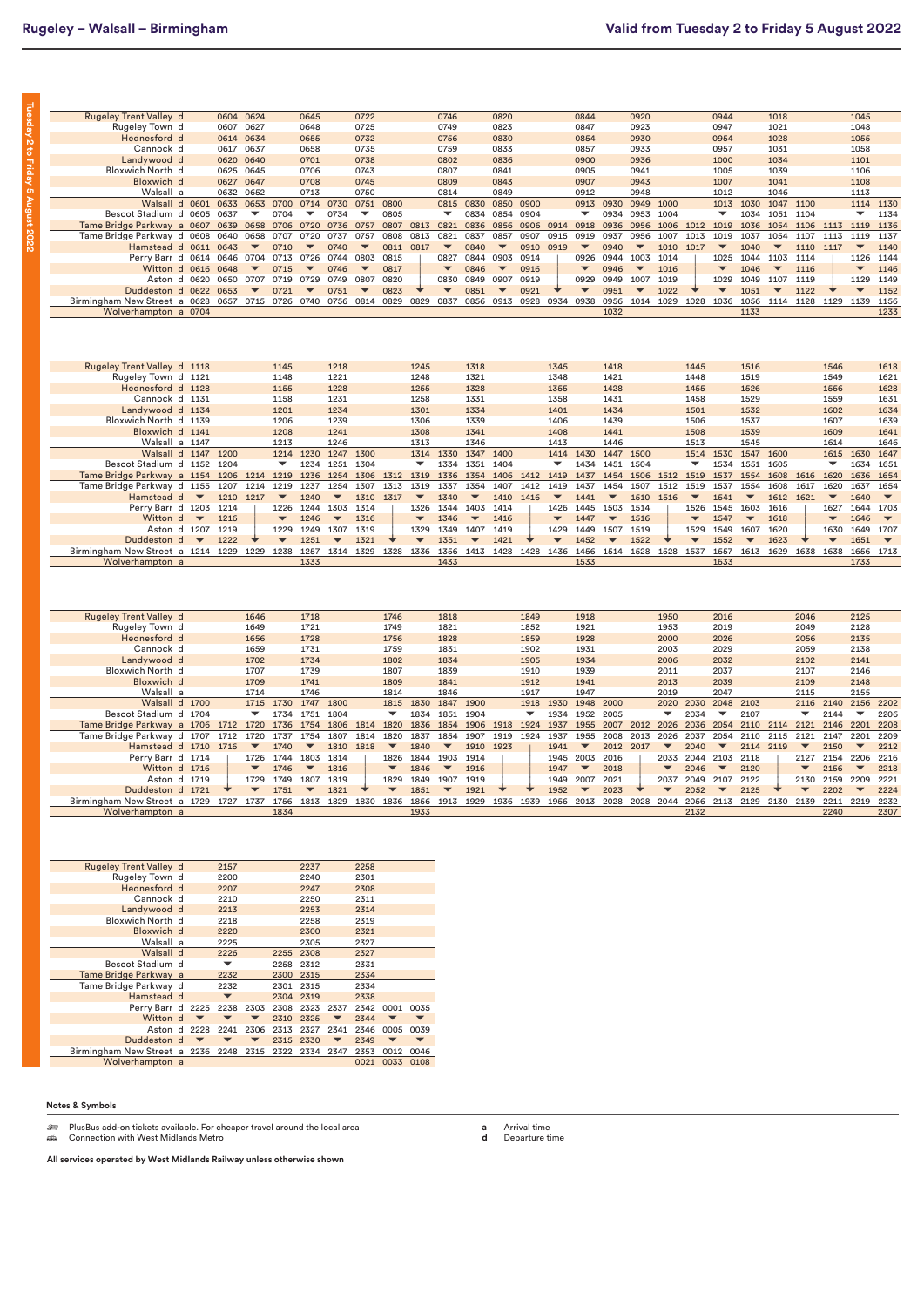**Tuesday 2 to Friday 5 August 2022**

Tuesday 2 to Friday 5 August 2022

| <b>Rugeley Trent Valley d</b>     |                          | 0604      | 0624                     |                          | 0645                             |                          | 0722                             |                          |                          | 0746                     |                          | 0820                             |              |                          | 0844                     |                          | 0920                             |                          |                          | 0944                             |                          | 1018                             |           |                          | 1045                     |                          |
|-----------------------------------|--------------------------|-----------|--------------------------|--------------------------|----------------------------------|--------------------------|----------------------------------|--------------------------|--------------------------|--------------------------|--------------------------|----------------------------------|--------------|--------------------------|--------------------------|--------------------------|----------------------------------|--------------------------|--------------------------|----------------------------------|--------------------------|----------------------------------|-----------|--------------------------|--------------------------|--------------------------|
| Rugeley Town d                    |                          | 0607      | 0627                     |                          | 0648                             |                          | 0725                             |                          |                          | 0749                     |                          | 0823                             |              |                          | 0847                     |                          | 0923                             |                          |                          | 0947                             |                          | 1021                             |           |                          | 1048                     |                          |
| Hednesford d                      |                          | 0614      | 0634                     |                          | 0655                             |                          | 0732                             |                          |                          | 0756                     |                          | 0830                             |              |                          | 0854                     |                          | 0930                             |                          |                          | 0954                             |                          | 1028                             |           |                          | 1055                     |                          |
| Cannock d                         |                          | 0617      | 0637                     |                          | 0658                             |                          | 0735                             |                          |                          | 0759                     |                          | 0833                             |              |                          | 0857                     |                          | 0933                             |                          |                          | 0957                             |                          | 1031                             |           |                          | 1058                     |                          |
| Landywood d                       |                          | 0620      | 0640                     |                          | 0701                             |                          | 0738                             |                          |                          | 0802                     |                          | 0836                             |              |                          | 0900                     |                          | 0936                             |                          |                          | 1000                             |                          | 1034                             |           |                          | 1101                     |                          |
| <b>Bloxwich North d</b>           |                          | 0625      | 0645                     |                          | 0706                             |                          | 0743                             |                          |                          | 0807                     |                          | 0841                             |              |                          | 0905                     |                          | 0941                             |                          |                          | 1005                             |                          | 1039                             |           |                          | 1106                     |                          |
| Bloxwich d                        |                          | 0627      | 0647                     |                          | 0708                             |                          | 0745                             |                          |                          | 0809                     |                          | 0843                             |              |                          | 0907                     |                          | 0943                             |                          |                          | 1007                             |                          | 1041                             |           |                          | 1108                     |                          |
| Walsall a                         |                          | 0632      | 0652                     |                          | 0713                             |                          | 0750                             |                          |                          | 0814                     |                          | 0849                             |              |                          | 0912                     |                          | 0948                             |                          |                          | 1012                             |                          | 1046                             |           |                          | 1113                     |                          |
| Walsall d 0601                    |                          | 0633      | 0653                     | 0700                     | 0714                             | 0730                     | 0751                             | 0800                     |                          | 0815                     | 0830                     | 0850                             | 0900         |                          | 0913                     | 0930                     | 0949                             | 1000                     |                          | 1013                             | 1030                     | 1047                             | 1100      |                          | 1114                     | 1130                     |
| Bescot Stadium d 0605             |                          | 0637      | ▼                        | 0704                     | ▼                                | 0734                     | $\overline{\phantom{a}}$         | 0805                     |                          | ▼                        | 0834                     | 0854                             | 0904         |                          | ▼                        | 0934                     | 0953                             | 1004                     |                          | ▼                                | 1034                     | 1051                             | 1104      |                          | ▼                        | 1134                     |
|                                   |                          |           |                          |                          |                                  |                          |                                  |                          |                          |                          |                          |                                  |              |                          |                          |                          |                                  |                          |                          |                                  |                          |                                  |           |                          |                          |                          |
| Tame Bridge Parkway a 0607        |                          | 0639      | 0658<br>0658             | 0706                     | 0720                             | 0736                     | 0757                             | 0807                     | 0813<br>0813             | 0821<br>0821             | 0836                     | 0856                             | 0906         | 0914<br>0915             | 0918<br>0919             | 0936                     | 0956                             | 1006                     | 1012<br>1013             | 1019                             | 1036                     | 1054                             | 1106      | 1113<br>1113             | 1119<br>1119             | 1136                     |
| Tame Bridge Parkway d 0608        |                          | 0640      | $\overline{\phantom{a}}$ | 0707                     | 0720<br>$\overline{\phantom{a}}$ | 0737                     | 0757<br>$\overline{\phantom{a}}$ | 0808                     |                          | $\overline{\phantom{a}}$ | 0837                     | 0857<br>$\overline{\phantom{a}}$ | 0907         |                          | $\overline{\phantom{a}}$ | 0937                     | 0956<br>$\overline{\phantom{a}}$ | 1007                     |                          | 1019<br>$\overline{\phantom{a}}$ | 1037                     | 1054<br>$\overline{\phantom{a}}$ | 1107      |                          | $\overline{\phantom{a}}$ | 1137                     |
| Hamstead d 0611                   |                          | 0643      |                          | 0710                     |                                  | 0740                     |                                  | 0811                     | 0817                     |                          | 0840                     |                                  | 0910         | 0919                     |                          | 0940                     |                                  | 1010                     | 1017                     |                                  | 1040                     |                                  | 1110      | 1117                     |                          | 1140                     |
| Perry Barr d 0614                 |                          | 0646      | 0704                     | 0713                     | 0726                             | 0744                     | 0803                             | 0815                     |                          | 0827                     | 0844                     | 0903                             | 0914         |                          | 0926                     | 0944                     | 1003                             | 1014                     |                          | 1025                             | 1044                     | 1103<br>$\overline{\mathbf{v}}$  | 1114      |                          | 1126                     | 1144                     |
| Witton d 0616                     |                          | 0648      | $\overline{\mathbf{v}}$  | 0715                     | $\overline{\phantom{a}}$         | 0746                     | $\overline{\phantom{a}}$         | 0817                     |                          | $\overline{\phantom{a}}$ | 0846                     | $\overline{\phantom{a}}$         | 0916         |                          | $\overline{\phantom{a}}$ | 0946                     | $\overline{\phantom{a}}$         | 1016                     |                          | $\overline{\mathbf{v}}$          | 1046                     |                                  | 1116      |                          | $\overline{\phantom{a}}$ | 1146                     |
| Aston d 0620                      |                          | 0650      | 0707                     | 0719                     | 0729                             | 0749                     | 0807                             | 0820                     |                          | 0830                     | 0849                     | 0907                             | 0919         |                          | 0929                     | 0949                     | 1007                             | 1019                     |                          | 1029                             | 1049                     | 1107                             | 1119      |                          | 1129                     | 1149                     |
| Duddeston d 0622                  |                          | 0653      |                          | 0721                     |                                  | 0751                     | $\blacktriangledown$             | 0823                     |                          | $\overline{\mathbf{v}}$  | 0851                     | $\blacktriangledown$             | 0921         |                          | $\overline{\phantom{a}}$ | 0951                     | $\overline{\phantom{a}}$         | 1022                     |                          | $\overline{\phantom{a}}$         | 1051                     | $\overline{\phantom{a}}$         | 1122      |                          |                          | 1152                     |
| Birmingham New Street a 0628      |                          | 0657      | 0715                     | 0726                     | 0740                             | 0756                     | 0814                             | 0829                     | 0829                     | 0837                     |                          | 0856 0913                        | 0928         | 0934 0938                |                          | 0956                     | 1014                             | 1029                     | 1028 1036                |                                  | 1056                     |                                  |           | 1114 1128 1129 1139      |                          | 1156                     |
| Wolverhampton a 0704              |                          |           |                          |                          |                                  |                          |                                  |                          |                          |                          |                          |                                  |              |                          |                          | 1032                     |                                  |                          |                          |                                  | 1133                     |                                  |           |                          |                          | 1233                     |
|                                   |                          |           |                          |                          |                                  |                          |                                  |                          |                          |                          |                          |                                  |              |                          |                          |                          |                                  |                          |                          |                                  |                          |                                  |           |                          |                          |                          |
|                                   |                          |           |                          |                          |                                  |                          |                                  |                          |                          |                          |                          |                                  |              |                          |                          |                          |                                  |                          |                          |                                  |                          |                                  |           |                          |                          |                          |
|                                   |                          |           |                          |                          |                                  |                          |                                  |                          |                          |                          |                          |                                  |              |                          |                          |                          |                                  |                          |                          |                                  |                          |                                  |           |                          |                          |                          |
|                                   |                          |           |                          |                          |                                  |                          |                                  |                          |                          |                          |                          |                                  |              |                          |                          |                          |                                  |                          |                          |                                  |                          |                                  |           |                          |                          |                          |
| Rugeley Trent Valley d 1118       |                          |           |                          | 1145                     |                                  | 1218                     |                                  |                          | 1245                     |                          | 1318                     |                                  |              | 1345                     |                          | 1418                     |                                  |                          | 1445                     |                                  | 1516                     |                                  |           | 1546                     |                          | 1618                     |
| Rugeley Town d 1121               |                          |           |                          | 1148                     |                                  | 1221                     |                                  |                          | 1248                     |                          | 1321                     |                                  |              | 1348                     |                          | 1421                     |                                  |                          | 1448                     |                                  | 1519                     |                                  |           | 1549                     |                          | 1621                     |
| Hednesford d 1128                 |                          |           |                          |                          |                                  | 1228                     |                                  |                          |                          |                          |                          |                                  |              |                          |                          | 1428                     |                                  |                          |                          |                                  |                          |                                  |           |                          |                          | 1628                     |
|                                   |                          |           |                          | 1155                     |                                  |                          |                                  |                          | 1255                     |                          | 1328                     |                                  |              | 1355                     |                          |                          |                                  |                          | 1455                     |                                  | 1526                     |                                  |           | 1556                     |                          |                          |
| Cannock d 1131                    |                          |           |                          | 1158                     |                                  | 1231                     |                                  |                          | 1258                     |                          | 1331                     |                                  |              | 1358                     |                          | 1431                     |                                  |                          | 1458                     |                                  | 1529                     |                                  |           | 1559                     |                          | 1631                     |
| Landywood d 1134                  |                          |           |                          | 1201                     |                                  | 1234                     |                                  |                          | 1301                     |                          | 1334                     |                                  |              | 1401                     |                          | 1434                     |                                  |                          | 1501                     |                                  | 1532                     |                                  |           | 1602                     |                          | 1634                     |
| Bloxwich North d 1139             |                          |           |                          | 1206                     |                                  | 1239                     |                                  |                          | 1306                     |                          | 1339                     |                                  |              | 1406                     |                          | 1439                     |                                  |                          | 1506                     |                                  | 1537                     |                                  |           | 1607                     |                          | 1639                     |
| Bloxwich d 1141                   |                          |           |                          | 1208                     |                                  | 1241                     |                                  |                          | 1308                     |                          | 1341                     |                                  |              | 1408                     |                          | 1441                     |                                  |                          | 1508                     |                                  | 1539                     |                                  |           | 1609                     |                          | 1641                     |
| Walsall a 1147                    |                          |           |                          | 1213                     |                                  | 1246                     |                                  |                          | 1313                     |                          | 1346                     |                                  |              | 1413                     |                          | 1446                     |                                  |                          | 1513                     |                                  | 1545                     |                                  |           | 1614                     |                          | 1646                     |
| Walsall d 1147                    |                          | 1200      |                          | 1214                     | 1230                             | 1247                     | 1300                             |                          | 1314                     | 1330                     | 1347                     | 1400                             |              | 1414                     | 1430                     | 1447 1500                |                                  |                          | 1514                     | 1530                             | 1547                     | 1600                             |           | 1615                     | 1630                     | 1647                     |
| Bescot Stadium d 1152             |                          | 1204      |                          | ▼                        | 1234                             | 1251                     | 1304                             |                          | ▼                        | 1334                     | 1351                     | 1404                             |              | $\overline{\phantom{a}}$ | 1434                     | 1451 1504                |                                  |                          | $\overline{\phantom{a}}$ | 1534                             | 1551                     | 1605                             |           | ▼                        | 1634                     | 1651                     |
| Tame Bridge Parkway a 1154        |                          | 1206      | 1214                     | 1219                     | 1236                             | 1254                     | 1306                             | 1312                     | 1319                     | 1336                     | 1354                     | 1406                             | 1412         | 1419                     | 1437                     | 1454                     | 1506                             | 1512                     | 1519                     | 1537                             | 1554                     | 1608                             | 1616      | 1620                     | 1636                     | 1654                     |
| Tame Bridge Parkway d 1155        |                          | 1207      | 1214                     | 1219                     | 1237                             | 1254                     | 1307                             | 1313                     | 1319                     | 1337                     | 1354                     | 1407                             | 1412         | 1419                     | 1437                     | 1454                     | 1507                             | 1512                     | 1519                     | 1537                             | 1554                     | 1608                             | 1617      | 1620                     | 1637                     | 1654                     |
| Hamstead d v                      |                          | 1210      | 1217                     | $\overline{\phantom{a}}$ | 1240                             | $\overline{\phantom{a}}$ | 1310                             | 1317                     | $\overline{\phantom{a}}$ | 1340                     | $\overline{\phantom{a}}$ | 1410                             | 1416         | $\overline{\phantom{a}}$ | 1441                     | $\overline{\phantom{a}}$ | 1510                             | 1516                     | $\overline{\phantom{a}}$ | 1541                             | $\overline{\phantom{a}}$ | 1612                             | 1621      | $\overline{\phantom{a}}$ | 1640                     | $\overline{\phantom{a}}$ |
| Perry Barr d 1203                 |                          | 1214      |                          | 1226                     | 1244                             | 1303                     | 1314                             |                          | 1326                     | 1344                     | 1403                     | 1414                             |              | 1426                     | 1445                     | 1503                     | 1514                             |                          | 1526                     | 1545                             | 1603                     | 1616                             |           | 1627                     | 1644                     | 1703                     |
| Witton d                          | $\overline{\phantom{0}}$ | 1216      |                          | $\overline{\phantom{a}}$ | 1246                             | $\overline{\phantom{a}}$ | 1316                             |                          | $\overline{\phantom{a}}$ | 1346                     | $\overline{\mathbf{v}}$  | 1416                             |              | $\overline{\mathbf{v}}$  | 1447                     | $\overline{\mathbf{v}}$  | 1516                             |                          | $\overline{\phantom{a}}$ | 1547                             | $\overline{\phantom{a}}$ | 1618                             |           | $\overline{\phantom{a}}$ | 1646                     | $\overline{\phantom{a}}$ |
| Aston d 1207                      |                          | 1219      |                          | 1229                     | 1249                             | 1307                     | 1319                             |                          | 1329                     | 1349                     | 1407                     | 1419                             |              | 1429                     | 1449                     | 1507                     | 1519                             |                          | 1529                     | 1549                             | 1607                     | 1620                             |           | 1630                     | 1649                     | 1707                     |
| Duddeston d                       | $\overline{\phantom{0}}$ | 1222      |                          |                          | 1251                             |                          | 1321                             |                          |                          | 1351                     |                          | 1421                             |              |                          | 1452                     | $\overline{\phantom{a}}$ | 1522                             |                          |                          | 1552                             | $\overline{\phantom{a}}$ | 1623                             |           |                          | 1651                     | $\overline{\phantom{a}}$ |
| Birmingham New Street a 1214 1229 |                          |           |                          | 1229 1238                | 1257                             | 1314                     | 1329                             |                          | 1328 1336                | 1356                     | 1413                     | 1428                             | 1428 1436    |                          | 1456                     | 1514                     | 1528                             | 1528 1537                |                          | 1557                             | 1613                     | 1629                             | 1638 1638 |                          | 1656                     | 1713                     |
| Wolverhampton a                   |                          |           |                          |                          | 1333                             |                          |                                  |                          |                          | 1433                     |                          |                                  |              |                          | 1533                     |                          |                                  |                          |                          | 1633                             |                          |                                  |           |                          | 1733                     |                          |
|                                   |                          |           |                          |                          |                                  |                          |                                  |                          |                          |                          |                          |                                  |              |                          |                          |                          |                                  |                          |                          |                                  |                          |                                  |           |                          |                          |                          |
|                                   |                          |           |                          |                          |                                  |                          |                                  |                          |                          |                          |                          |                                  |              |                          |                          |                          |                                  |                          |                          |                                  |                          |                                  |           |                          |                          |                          |
|                                   |                          |           |                          |                          |                                  |                          |                                  |                          |                          |                          |                          |                                  |              |                          |                          |                          |                                  |                          |                          |                                  |                          |                                  |           |                          |                          |                          |
|                                   |                          |           |                          |                          |                                  |                          |                                  |                          |                          |                          |                          |                                  |              |                          |                          |                          |                                  |                          |                          |                                  |                          |                                  |           |                          |                          |                          |
|                                   |                          |           |                          |                          |                                  |                          |                                  |                          |                          |                          |                          |                                  |              |                          |                          |                          |                                  |                          |                          |                                  |                          |                                  |           |                          |                          |                          |
| <b>Rugeley Trent Valley d</b>     |                          |           | 1646                     |                          | 1718                             |                          |                                  | 1746                     |                          | 1818                     |                          |                                  | 1849         |                          | 1918                     |                          |                                  | 1950                     |                          | 2016                             |                          |                                  | 2046      |                          | 2125                     |                          |
| Rugeley Town d                    |                          |           | 1649                     |                          | 1721                             |                          |                                  | 1749                     |                          | 1821                     |                          |                                  | 1852         |                          | 1921                     |                          |                                  | 1953                     |                          | 2019                             |                          |                                  | 2049      |                          | 2128                     |                          |
| Hednesford d                      |                          |           | 1656                     |                          | 1728                             |                          |                                  | 1756                     |                          | 1828                     |                          |                                  | 1859         |                          | 1928                     |                          |                                  | 2000                     |                          | 2026                             |                          |                                  | 2056      |                          | 2135                     |                          |
| Cannock d                         |                          |           | 1659                     |                          | 1731                             |                          |                                  | 1759                     |                          | 1831                     |                          |                                  | 1902         |                          | 1931                     |                          |                                  | 2003                     |                          | 2029                             |                          |                                  | 2059      |                          | 2138                     |                          |
| Landywood d                       |                          |           | 1702                     |                          | 1734                             |                          |                                  | 1802                     |                          | 1834                     |                          |                                  | 1905         |                          | 1934                     |                          |                                  | 2006                     |                          | 2032                             |                          |                                  | 2102      |                          | 2141                     |                          |
| <b>Bloxwich North d</b>           |                          |           | 1707                     |                          | 1739                             |                          |                                  | 1807                     |                          | 1839                     |                          |                                  | 1910         |                          | 1939                     |                          |                                  | 2011                     |                          | 2037                             |                          |                                  | 2107      |                          | 2146                     |                          |
| Bloxwich d                        |                          |           | 1709                     |                          | 1741                             |                          |                                  | 1809                     |                          | 1841                     |                          |                                  | 1912         |                          | 1941                     |                          |                                  | 2013                     |                          | 2039                             |                          |                                  | 2109      |                          | 2148                     |                          |
| Walsall a                         |                          |           | 1714                     |                          | 1746                             |                          |                                  | 1814                     |                          | 1846                     |                          |                                  | 1917         |                          | 1947                     |                          |                                  | 2019                     |                          | 2047                             |                          |                                  | 2115      |                          | 2155                     |                          |
| Walsall d 1700                    |                          |           | 1715                     | 1730                     | 1747                             | 1800                     |                                  | 1815                     | 1830                     | 1847                     | 1900                     |                                  | 1918         | 1930                     | 1948                     | 2000                     |                                  | 2020                     | 2030                     | 2048                             | 2103                     |                                  | 2116      | 2140                     | 2156                     | 2202                     |
| Bescot Stadium d 1704             |                          |           | $\overline{\phantom{a}}$ | 1734                     | 1751                             | 1804                     |                                  | $\overline{\phantom{a}}$ | 1834                     | 1851                     | 1904                     |                                  | $\checkmark$ | 1934                     | 1952                     | 2005                     |                                  | $\checkmark$             | 2034                     | $\overline{\phantom{a}}$         | 2107                     |                                  | ▼         | 2144                     | $\overline{\phantom{a}}$ | 2206                     |
| Tame Bridge Parkway a 1706        |                          |           | 1720                     |                          | 1754                             | 1806                     | 1814                             | 1820                     | 1836                     | 1854                     | 1906                     | 1918                             | 1924         | 1937                     | 1955                     | 2007                     | 2012                             | 2026                     | 2036                     | 2054                             | 2110                     | 2114                             | 2121      | 2146                     | 2201                     |                          |
|                                   |                          | 1712      |                          | 1736                     |                                  |                          |                                  |                          |                          |                          |                          | 1919                             |              |                          | 1955                     |                          |                                  | 2026                     | 2037                     |                                  | 2110                     | 2115                             |           | 2147                     | 2201                     | 2208<br>2209             |
| Tame Bridge Parkway d 1707        |                          | 1712      | 1720                     | 1737                     | 1754                             | 1807                     | 1814                             | 1820                     | 1837                     | 1854                     | 1907                     |                                  | 1924         | 1937                     |                          | 2008                     | 2013                             |                          |                          | 2054                             |                          |                                  | 2121      |                          |                          |                          |
| Hamstead d 1710                   |                          | 1716      | $\blacktriangledown$     | 1740                     | $\overline{\phantom{a}}$         | 1810                     | 1818                             | $\overline{\phantom{a}}$ | 1840                     | $\overline{\phantom{a}}$ | 1910                     | 1923                             |              | 1941                     | $\overline{\phantom{a}}$ | 2012                     | 2017                             | $\overline{\phantom{a}}$ | 2040                     | $\overline{\phantom{a}}$         | 2114                     | 2119                             | ▼         | 2150                     | $\overline{\phantom{a}}$ | 2212                     |
| Perry Barr d 1714                 |                          |           | 1726                     | 1744                     | 1803                             | 1814                     |                                  | 1826                     | 1844                     | 1903                     | 1914                     |                                  |              | 1945                     | 2003                     | 2016                     |                                  | 2033                     | 2044                     | 2103                             | 2118                     |                                  | 2127      | 2154                     | 2206                     | 2216                     |
| Witton d 1716                     |                          |           |                          | 1746                     | $\overline{\phantom{a}}$         | 1816                     |                                  |                          | 1846                     | $\overline{\phantom{a}}$ | 1916                     |                                  |              | 1947                     | $\overline{\phantom{a}}$ | 2018                     |                                  |                          | 2046                     | $\overline{\phantom{a}}$         | 2120                     |                                  |           | 2156                     | $\overline{\phantom{a}}$ | 2218                     |
| Aston d 1719                      |                          |           | 1729                     | 1749                     | 1807                             | 1819                     |                                  | 1829                     | 1849                     | 1907                     | 1919                     |                                  |              | 1949                     | 2007                     | 2021                     |                                  | 2037                     | 2049                     | 2107                             | 2122                     |                                  | 2130      | 2159                     | 2209                     | 2221                     |
| Duddeston d 1721                  |                          |           |                          | 1751                     | $\overline{\phantom{a}}$         | 1821                     |                                  |                          | 1851                     | $\overline{\mathbf{v}}$  | 1921                     |                                  |              | 1952                     |                          | 2023                     |                                  |                          | 2052                     | $\overline{\phantom{a}}$         | 2125                     |                                  |           | 2202                     | $\overline{\phantom{a}}$ | 2224                     |
| Birmingham New Street a 1729      |                          | 1727 1737 |                          | 1756                     | 1813                             | 1829                     | 1830 1836                        |                          |                          |                          | 1856 1913 1929 1936 1939 |                                  |              | 1956 2013                |                          | 2028                     | 2028                             | 2044                     | 2056 2113                |                                  | 2129                     | 2130                             | 2139      | 2211                     | 2219                     | 2232                     |
| Wolverhampton a                   |                          |           |                          | 1834                     |                                  |                          |                                  |                          | 1933                     |                          |                          |                                  |              |                          |                          |                          |                                  |                          | 2132                     |                                  |                          |                                  |           | 2240                     |                          | 2307                     |
|                                   |                          |           |                          |                          |                                  |                          |                                  |                          |                          |                          |                          |                                  |              |                          |                          |                          |                                  |                          |                          |                                  |                          |                                  |           |                          |                          |                          |
|                                   |                          |           |                          |                          |                                  |                          |                                  |                          |                          |                          |                          |                                  |              |                          |                          |                          |                                  |                          |                          |                                  |                          |                                  |           |                          |                          |                          |
|                                   |                          |           |                          |                          |                                  |                          |                                  |                          |                          |                          |                          |                                  |              |                          |                          |                          |                                  |                          |                          |                                  |                          |                                  |           |                          |                          |                          |

| <b>Rugeley Trent Valley d</b>     |      | 2157                 |                      |           | 2237      |      | 2258 |      |                      |
|-----------------------------------|------|----------------------|----------------------|-----------|-----------|------|------|------|----------------------|
| Rugeley Town d                    |      | 2200                 |                      |           | 2240      |      | 2301 |      |                      |
| Hednesford d                      |      | 2207                 |                      |           | 2247      |      | 2308 |      |                      |
| Cannock d                         |      | 2210                 |                      |           | 2250      |      | 2311 |      |                      |
| Landywood d                       |      | 2213                 |                      |           | 2253      |      | 2314 |      |                      |
| Bloxwich North d                  |      | 2218                 |                      |           | 2258      |      | 2319 |      |                      |
| Bloxwich d                        |      | 2220                 |                      |           | 2300      |      | 2321 |      |                      |
| Walsall a                         |      | 2225                 |                      |           | 2305      |      | 2327 |      |                      |
| Walsall d                         |      | 2226                 |                      | 2255      | 2308      |      | 2327 |      |                      |
| Bescot Stadium d                  |      |                      |                      | 2258      | 2312      |      | 2331 |      |                      |
| Tame Bridge Parkway a             |      | 2232                 |                      | 2300      | 2315      |      | 2334 |      |                      |
| Tame Bridge Parkway d             |      | 2232                 |                      | 2301 2315 |           |      | 2334 |      |                      |
| Hamstead d                        |      | $\blacktriangledown$ |                      |           | 2304 2319 |      | 2338 |      |                      |
| Perry Barr d 2225                 |      | 2238 2303            |                      | 2308      | 2323      | 2337 | 2342 | 0001 | 0035                 |
| Witton d                          |      |                      |                      | 2310      | 2325      |      | 2344 |      | ▼                    |
| Aston d                           | 2228 | 2241                 | 2306                 | 2313      | 2327      | 2341 | 2346 | 0005 | 0039                 |
| Duddeston d                       |      |                      | $\blacktriangledown$ | 2315      | 2330      |      | 2349 |      | $\blacktriangledown$ |
| Birmingham New Street a 2236 2248 |      |                      | 2315                 | 2322      | 2334      | 2347 | 2353 | 0012 | 0046                 |
| Wolverhampton a                   |      |                      |                      |           |           |      | 0021 | 0033 | 0108                 |

**Notes & Symbols**

<del>يت</del> PlusBus add-on tickets available. For cheaper travel around the local area<br>ه **Connection with West Midlands Metro** 

**a** Arrival time **d** Departure time

**All services operated by West Midlands Railway unless otherwise shown**